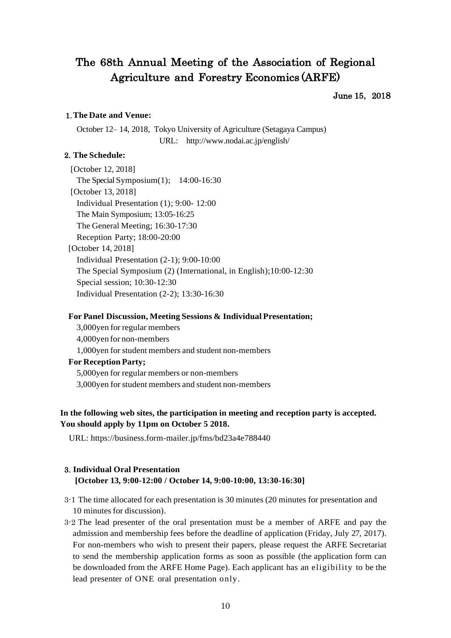# The 68th Annual Meeting of the Association of Regional Agriculture and Forestry Economics (ARFE)

#### June 15,2018

#### 1.**The Date and Venue:**

October 12– 14, 2018, Tokyo University of Agriculture (Setagaya Campus) URL: http://www.nodai.ac.jp/english/

#### 2. **The Schedule:**

[October 12, 2018] The Special Symposium(1); 14:00-16:30 [October 13, 2018] Individual Presentation (1); 9:00- 12:00 The Main Symposium; 13:05-16:25 The General Meeting; 16:30-17:30 Reception Party; 18:00-20:00 [October 14, 2018] Individual Presentation (2-1); 9:00-10:00 The Special Symposium (2) (International, in English);10:00-12:30 Special session; 10:30-12:30 Individual Presentation (2-2); 13:30-16:30

#### **For Panel Discussion, Meeting Sessions & Individual Presentation;**

3,000yen for regular members 4,000yen for non-members 1,000yen for student members and student non-members **For Reception Party;** 5,000yen for regular members or non-members 3,000yen for student members and student non-members

### **In the following web sites, the participation in meeting and reception party is accepted. You should apply by 11pm on October 5 2018.**

URL: https://business.form-mailer.jp/fms/bd23a4e788440

# 3. **Individual Oral Presentation [October 13, 9:00-12:00 / October 14, 9:00-10:00, 13:30-16:30]**

- 3-1 The time allocated for each presentation is 30 minutes (20 minutes for presentation and 10 minutes for discussion).
- 3-2 The lead presenter of the oral presentation must be a member of ARFE and pay the admission and membership fees before the deadline of application (Friday, July 27, 2017). For non-members who wish to present their papers, please request the ARFE Secretariat to send the membership application forms as soon as possible (the application form can be downloaded from the ARFE Home Page). Each applicant has an eligibility to be the lead presenter of ONE oral presentation only.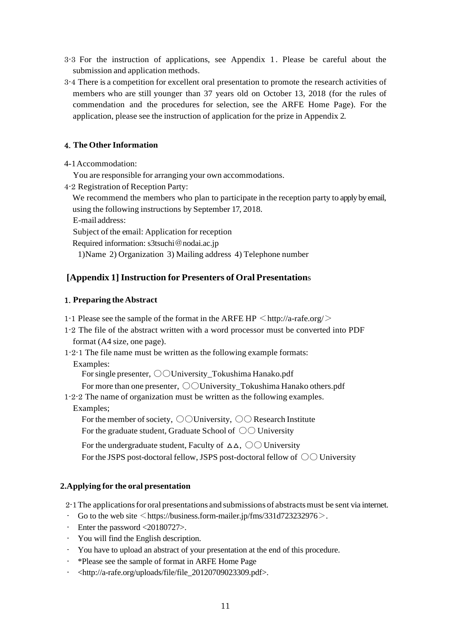- 3-3 For the instruction of applications, see Appendix 1. Please be careful about the submission and application methods.
- 3-4 There is a competition for excellent oral presentation to promote the research activities of members who are still younger than 37 years old on October 13, 2018 (for the rules of commendation and the procedures for selection, see the ARFE Home Page). For the application, please see the instruction of application for the prize in Appendix 2.

# 4. **The Other Information**

4-1Accommodation:

You are responsible for arranging your own accommodations.

4-2 Registration of Reception Party:

We recommend the members who plan to participate in the reception party to apply by email, using the following instructions by September 17, 2018.

E-mail address:

Subject of the email: Application for reception

Required information: s3tsuchi@nodai.ac.jp

1)Name 2) Organization 3) Mailing address 4) Telephone number

# **[Appendix 1]Instruction for Presenters of Oral Presentation**s

# 1. **Preparing the Abstract**

- 1-1 Please see the sample of the format in the ARFE HP  $\langle$  http://a-rafe.org/ $>$
- 1-2 The file of the abstract written with a word processor must be converted into PDF format (A4 size, one page).
- 1-2-1 The file name must be written as the following example formats:

Examples:

For single presenter,  $\bigcirc$  University\_Tokushima Hanako.pdf

For more than one presenter,  $\bigcirc$  University Tokushima Hanako others.pdf

1-2-2 The name of organization must be written as the following examples. Examples;

For the member of society,  $\bigcirc$  University,  $\bigcirc$  Research Institute For the graduate student, Graduate School of  $\bigcirc$  University

For the undergraduate student, Faculty of  $\Delta \Delta$ ,  $\odot \odot$  University For the JSPS post-doctoral fellow, JSPS post-doctoral fellow of  $\circlearrowright\circlearrowright$  University

# **2.Applying for the oral presentation**

2-1The applicationsfor oral presentations and submissions of abstractsmust be sent via internet.

- Go to the web site  $\leq$  https://business.form-mailer.jp/fms/331d723232976 $>$ .
- Enter the password <20180727>.
- You will find the English description.
- You have to upload an abstract of your presentation at the end of this procedure.
- \*Please see the sample of format in ARFE Home Page
- <http://a-rafe.org/uploads/file/file\_20120709023309.pdf>.